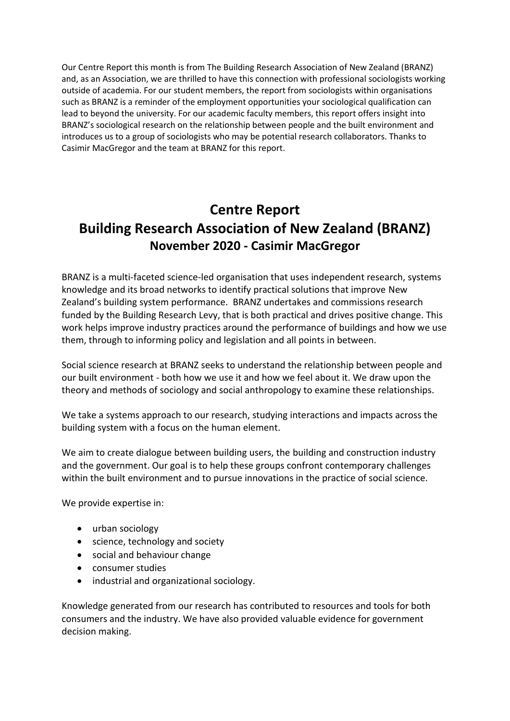Our Centre Report this month is from The Building Research Association of New Zealand (BRANZ) and, as an Association, we are thrilled to have this connection with professional sociologists working outside of academia. For our student members, the report from sociologists within organisations such as BRANZ is a reminder of the employment opportunities your sociological qualification can lead to beyond the university. For our academic faculty members, this report offers insight into BRANZ's sociological research on the relationship between people and the built environment and introduces us to a group of sociologists who may be potential research collaborators. Thanks to Casimir MacGregor and the team at BRANZ for this report.

# **Centre Report Building Research Association of New Zealand (BRANZ) November 2020 - Casimir MacGregor**

BRANZ is a multi-faceted science-led organisation that uses independent research, systems knowledge and its broad networks to identify practical solutions that improve New Zealand's building system performance. BRANZ undertakes and commissions research funded by the Building Research Levy, that is both practical and drives positive change. This work helps improve industry practices around the performance of buildings and how we use them, through to informing policy and legislation and all points in between.

Social science research at BRANZ seeks to understand the relationship between people and our built environment - both how we use it and how we feel about it. We draw upon the theory and methods of sociology and social anthropology to examine these relationships.

We take a systems approach to our research, studying interactions and impacts across the building system with a focus on the human element.

We aim to create dialogue between building users, the building and construction industry and the government. Our goal is to help these groups confront contemporary challenges within the built environment and to pursue innovations in the practice of social science.

We provide expertise in:

- urban sociology
- science, technology and society
- social and behaviour change
- consumer studies
- industrial and organizational sociology.

Knowledge generated from our research has contributed to resources and tools for both consumers and the industry. We have also provided valuable evidence for government decision making.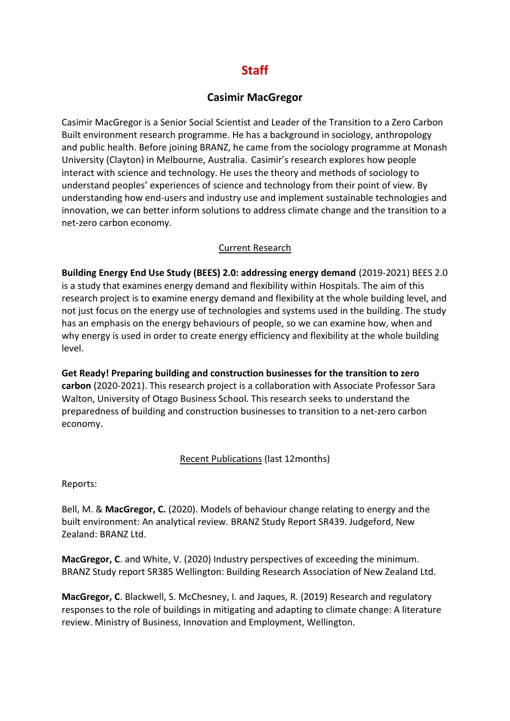# **Staff**

### **Casimir MacGregor**

Casimir MacGregor is a Senior Social Scientist and Leader of the Transition to a Zero Carbon Built environment research programme. He has a background in sociology, anthropology and public health. Before joining BRANZ, he came from the sociology programme at Monash University (Clayton) in Melbourne, Australia. Casimir's research explores how people interact with science and technology. He uses the theory and methods of sociology to understand peoples' experiences of science and technology from their point of view. By understanding how end-users and industry use and implement sustainable technologies and innovation, we can better inform solutions to address climate change and the transition to a net-zero carbon economy.

#### Current Research

**Building Energy End Use Study (BEES) 2.0: addressing energy demand** (2019-2021) BEES 2.0 is a study that examines energy demand and flexibility within Hospitals. The aim of this research project is to examine energy demand and flexibility at the whole building level, and not just focus on the energy use of technologies and systems used in the building. The study has an emphasis on the energy behaviours of people, so we can examine how, when and why energy is used in order to create energy efficiency and flexibility at the whole building level.

**Get Ready! Preparing building and construction businesses for the transition to zero carbon** (2020-2021). This research project is a collaboration with Associate Professor Sara Walton, University of Otago Business School. This research seeks to understand the preparedness of building and construction businesses to transition to a net-zero carbon economy.

#### Recent Publications (last 12months)

Reports:

Bell, M. & **MacGregor, C.** (2020). Models of behaviour change relating to energy and the built environment: An analytical review. BRANZ Study Report SR439. Judgeford, New Zealand: BRANZ Ltd.

**MacGregor, C**. and White, V. (2020) Industry perspectives of exceeding the minimum. BRANZ Study report SR385 Wellington: Building Research Association of New Zealand Ltd.

**MacGregor, C**. Blackwell, S. McChesney, I. and Jaques, R. (2019) Research and regulatory responses to the role of buildings in mitigating and adapting to climate change: A literature review. Ministry of Business, Innovation and Employment, Wellington.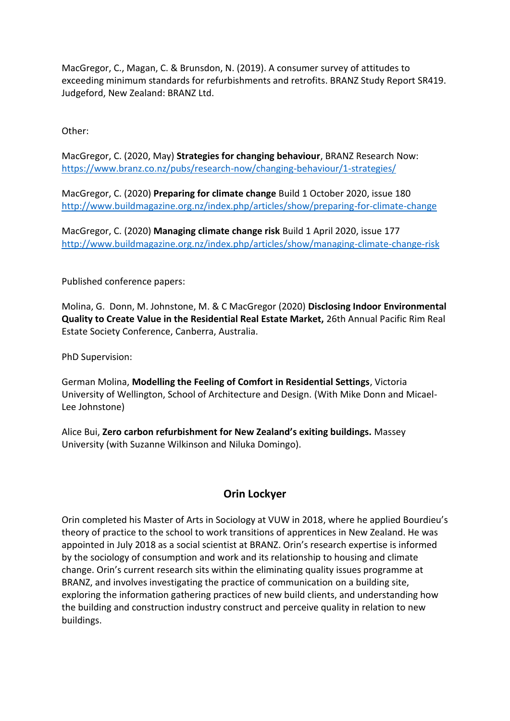MacGregor, C., Magan, C. & Brunsdon, N. (2019). A consumer survey of attitudes to exceeding minimum standards for refurbishments and retrofits. BRANZ Study Report SR419. Judgeford, New Zealand: BRANZ Ltd.

Other:

MacGregor, C. (2020, May) **Strategies for changing behaviour**, BRANZ Research Now: <https://www.branz.co.nz/pubs/research-now/changing-behaviour/1-strategies/>

MacGregor, C. (2020) **Preparing for climate change** Build 1 October 2020, issue 180 <http://www.buildmagazine.org.nz/index.php/articles/show/preparing-for-climate-change>

MacGregor, C. (2020) **Managing climate change risk** Build 1 April 2020, issue 177 <http://www.buildmagazine.org.nz/index.php/articles/show/managing-climate-change-risk>

Published conference papers:

Molina, G. Donn, M. Johnstone, M. & C MacGregor (2020) **Disclosing Indoor Environmental Quality to Create Value in the Residential Real Estate Market,** 26th Annual Pacific Rim Real Estate Society Conference, Canberra, Australia.

PhD Supervision:

German Molina, **Modelling the Feeling of Comfort in Residential Settings**, Victoria University of Wellington, School of Architecture and Design. (With Mike Donn and Micael-Lee Johnstone)

Alice Bui, **Zero carbon refurbishment for New Zealand's exiting buildings.** Massey University (with Suzanne Wilkinson and Niluka Domingo).

## **Orin Lockyer**

Orin completed his Master of Arts in Sociology at VUW in 2018, where he applied Bourdieu's theory of practice to the school to work transitions of apprentices in New Zealand. He was appointed in July 2018 as a social scientist at BRANZ. Orin's research expertise is informed by the sociology of consumption and work and its relationship to housing and climate change. Orin's current research sits within the eliminating quality issues programme at BRANZ, and involves investigating the practice of communication on a building site, exploring the information gathering practices of new build clients, and understanding how the building and construction industry construct and perceive quality in relation to new buildings.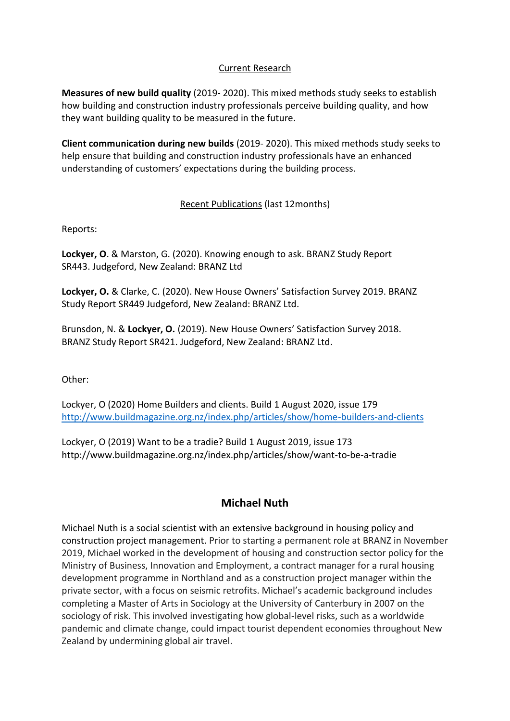#### Current Research

**Measures of new build quality** (2019- 2020). This mixed methods study seeks to establish how building and construction industry professionals perceive building quality, and how they want building quality to be measured in the future.

**Client communication during new builds** (2019- 2020). This mixed methods study seeks to help ensure that building and construction industry professionals have an enhanced understanding of customers' expectations during the building process.

#### Recent Publications (last 12months)

Reports:

**Lockyer, O**. & Marston, G. (2020). Knowing enough to ask. BRANZ Study Report SR443. Judgeford, New Zealand: BRANZ Ltd

**Lockyer, O.** & Clarke, C. (2020). New House Owners' Satisfaction Survey 2019. BRANZ Study Report SR449 Judgeford, New Zealand: BRANZ Ltd.

Brunsdon, N. & **Lockyer, O.** (2019). New House Owners' Satisfaction Survey 2018. BRANZ Study Report SR421. Judgeford, New Zealand: BRANZ Ltd.

Other:

Lockyer, O (2020) Home Builders and clients. Build 1 August 2020, issue 179 <http://www.buildmagazine.org.nz/index.php/articles/show/home-builders-and-clients>

Lockyer, O (2019) Want to be a tradie? Build 1 August 2019, issue 173 http://www.buildmagazine.org.nz/index.php/articles/show/want-to-be-a-tradie

## **Michael Nuth**

Michael Nuth is a social scientist with an extensive background in housing policy and construction project management. Prior to starting a permanent role at BRANZ in November 2019, Michael worked in the development of housing and construction sector policy for the Ministry of Business, Innovation and Employment, a contract manager for a rural housing development programme in Northland and as a construction project manager within the private sector, with a focus on seismic retrofits. Michael's academic background includes completing a Master of Arts in Sociology at the University of Canterbury in 2007 on the sociology of risk. This involved investigating how global-level risks, such as a worldwide pandemic and climate change, could impact tourist dependent economies throughout New Zealand by undermining global air travel.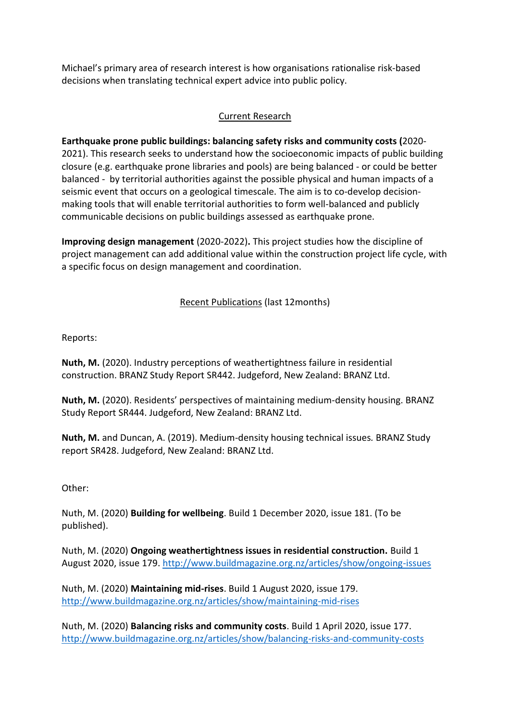Michael's primary area of research interest is how organisations rationalise risk-based decisions when translating technical expert advice into public policy.

#### Current Research

# **Earthquake prone public buildings: balancing safety risks and community costs (**2020-

2021). This research seeks to understand how the socioeconomic impacts of public building closure (e.g. earthquake prone libraries and pools) are being balanced - or could be better balanced - by territorial authorities against the possible physical and human impacts of a seismic event that occurs on a geological timescale. The aim is to co-develop decisionmaking tools that will enable territorial authorities to form well-balanced and publicly communicable decisions on public buildings assessed as earthquake prone.

**Improving design management** (2020-2022)**.** This project studies how the discipline of project management can add additional value within the construction project life cycle, with a specific focus on design management and coordination.

#### Recent Publications (last 12months)

Reports:

**Nuth, M.** (2020). Industry perceptions of weathertightness failure in residential construction. BRANZ Study Report SR442. Judgeford, New Zealand: BRANZ Ltd.

**Nuth, M.** (2020). Residents' perspectives of maintaining medium-density housing. BRANZ Study Report SR444. Judgeford, New Zealand: BRANZ Ltd.

**Nuth, M.** and Duncan, A. (2019). Medium-density housing technical issues*.* BRANZ Study report SR428. Judgeford, New Zealand: BRANZ Ltd.

Other:

Nuth, M. (2020) **Building for wellbeing**. Build 1 December 2020, issue 181. (To be published).

Nuth, M. (2020) **Ongoing weathertightness issues in residential construction.** Build 1 August 2020, issue 179.<http://www.buildmagazine.org.nz/articles/show/ongoing-issues>

Nuth, M. (2020) **Maintaining mid-rises**. Build 1 August 2020, issue 179. <http://www.buildmagazine.org.nz/articles/show/maintaining-mid-rises>

Nuth, M. (2020) **Balancing risks and community costs**. Build 1 April 2020, issue 177. <http://www.buildmagazine.org.nz/articles/show/balancing-risks-and-community-costs>